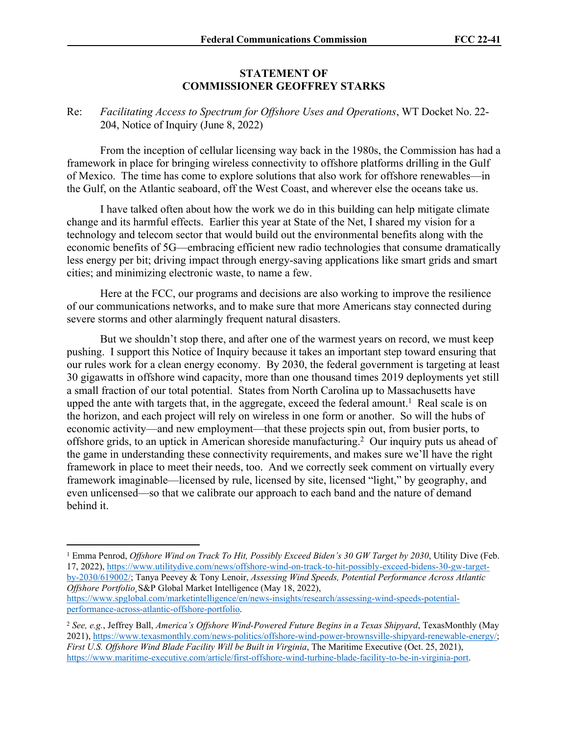## **STATEMENT OF COMMISSIONER GEOFFREY STARKS**

## Re: *Facilitating Access to Spectrum for Offshore Uses and Operations*, WT Docket No. 22- 204, Notice of Inquiry (June 8, 2022)

From the inception of cellular licensing way back in the 1980s, the Commission has had a framework in place for bringing wireless connectivity to offshore platforms drilling in the Gulf of Mexico. The time has come to explore solutions that also work for offshore renewables—in the Gulf, on the Atlantic seaboard, off the West Coast, and wherever else the oceans take us.

I have talked often about how the work we do in this building can help mitigate climate change and its harmful effects. Earlier this year at State of the Net, I shared my vision for a technology and telecom sector that would build out the environmental benefits along with the economic benefits of 5G—embracing efficient new radio technologies that consume dramatically less energy per bit; driving impact through energy-saving applications like smart grids and smart cities; and minimizing electronic waste, to name a few.

Here at the FCC, our programs and decisions are also working to improve the resilience of our communications networks, and to make sure that more Americans stay connected during severe storms and other alarmingly frequent natural disasters.

But we shouldn't stop there, and after one of the warmest years on record, we must keep pushing. I support this Notice of Inquiry because it takes an important step toward ensuring that our rules work for a clean energy economy. By 2030, the federal government is targeting at least 30 gigawatts in offshore wind capacity, more than one thousand times 2019 deployments yet still a small fraction of our total potential. States from North Carolina up to Massachusetts have upped the ante with targets that, in the aggregate, exceed the federal amount.<sup>1</sup> Real scale is on the horizon, and each project will rely on wireless in one form or another. So will the hubs of economic activity—and new employment—that these projects spin out, from busier ports, to offshore grids, to an uptick in American shoreside manufacturing.<sup>2</sup> Our inquiry puts us ahead of the game in understanding these connectivity requirements, and makes sure we'll have the right framework in place to meet their needs, too. And we correctly seek comment on virtually every framework imaginable—licensed by rule, licensed by site, licensed "light," by geography, and even unlicensed—so that we calibrate our approach to each band and the nature of demand behind it.

[performance-across-atlantic-offshore-portfolio.](https://www.spglobal.com/marketintelligence/en/news-insights/research/assessing-wind-speeds-potential-performance-across-atlantic-offshore-portfolio)

<sup>1</sup> Emma Penrod, *Offshore Wind on Track To Hit, Possibly Exceed Biden's 30 GW Target by 2030*, Utility Dive (Feb. 17, 2022), [https://www.utilitydive.com/news/offshore-wind-on-track-to-hit-possibly-exceed-bidens-30-gw-target](https://www.utilitydive.com/news/offshore-wind-on-track-to-hit-possibly-exceed-bidens-30-gw-target-by-2030/619002/)[by-2030/619002/;](https://www.utilitydive.com/news/offshore-wind-on-track-to-hit-possibly-exceed-bidens-30-gw-target-by-2030/619002/) Tanya Peevey & Tony Lenoir, *Assessing Wind Speeds, Potential Performance Across Atlantic Offshore Portfolio¸*S&P Global Market Intelligence (May 18, 2022), [https://www.spglobal.com/marketintelligence/en/news-insights/research/assessing-wind-speeds-potential-](https://www.spglobal.com/marketintelligence/en/news-insights/research/assessing-wind-speeds-potential-performance-across-atlantic-offshore-portfolio)

<sup>2</sup> *See, e.g.*, Jeffrey Ball, *America's Offshore Wind-Powered Future Begins in a Texas Shipyard*, TexasMonthly (May 2021), [https://www.texasmonthly.com/news-politics/offshore-wind-power-brownsville-shipyard-renewable-energy/;](https://www.texasmonthly.com/news-politics/offshore-wind-power-brownsville-shipyard-renewable-energy/) *First U.S. Offshore Wind Blade Facility Will be Built in Virginia*, The Maritime Executive (Oct. 25, 2021), <https://www.maritime-executive.com/article/first-offshore-wind-turbine-blade-facility-to-be-in-virginia-port>.